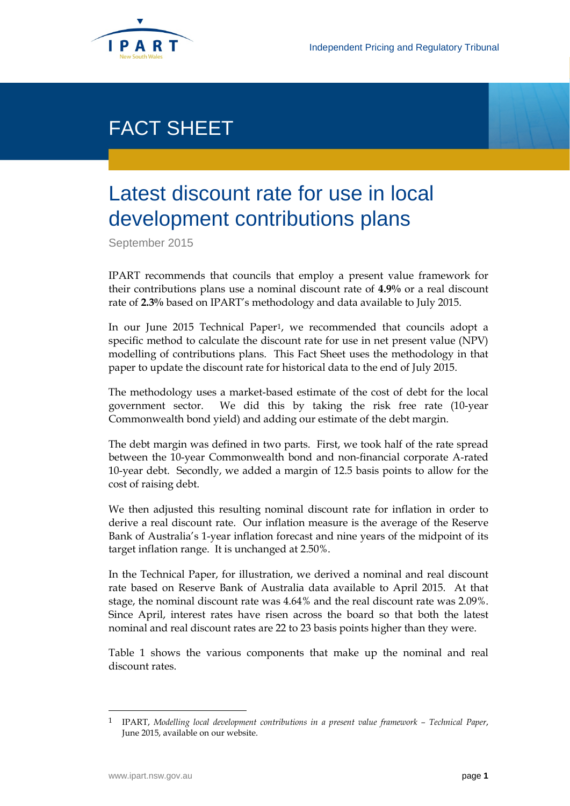

## FACT SHEET

## Latest discount rate for use in local development contributions plans

September 2015

IPART recommends that councils that employ a present value framework for their contributions plans use a nominal discount rate of **4.9%** or a real discount rate of **2.3%** based on IPART's methodology and data available to July 2015.

In our June 2015 Technical Paper[1,](#page-0-0) we recommended that councils adopt a specific method to calculate the discount rate for use in net present value (NPV) modelling of contributions plans. This Fact Sheet uses the methodology in that paper to update the discount rate for historical data to the end of July 2015.

The methodology uses a market-based estimate of the cost of debt for the local government sector. We did this by taking the risk free rate (10-year Commonwealth bond yield) and adding our estimate of the debt margin.

The debt margin was defined in two parts. First, we took half of the rate spread between the 10-year Commonwealth bond and non-financial corporate A-rated 10-year debt. Secondly, we added a margin of 12.5 basis points to allow for the cost of raising debt.

We then adjusted this resulting nominal discount rate for inflation in order to derive a real discount rate. Our inflation measure is the average of the Reserve Bank of Australia's 1-year inflation forecast and nine years of the midpoint of its target inflation range. It is unchanged at 2.50%.

In the Technical Paper, for illustration, we derived a nominal and real discount rate based on Reserve Bank of Australia data available to April 2015. At that stage, the nominal discount rate was 4.64% and the real discount rate was 2.09%. Since April, interest rates have risen across the board so that both the latest nominal and real discount rates are 22 to 23 basis points higher than they were.

Table 1 shows the various components that make up the nominal and real discount rates.

<span id="page-0-0"></span> <sup>1</sup> IPART, *Modelling local development contributions in a present value framework – Technical Paper*, June 2015, available on our website.